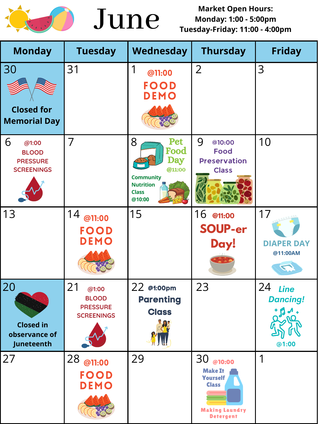



**Market Open Hours: Monday: 1:00 - 5:00pm Tuesday-Friday: 11:00 - 4:00pm**

| <b>Monday</b>                                                      | <b>Tuesday</b>                                                      | Wednesday                                                                                                         | <b>Thursday</b>                                                                                   | <b>Friday</b>                    |
|--------------------------------------------------------------------|---------------------------------------------------------------------|-------------------------------------------------------------------------------------------------------------------|---------------------------------------------------------------------------------------------------|----------------------------------|
| 30<br><b>Closed for</b><br><b>Memorial Day</b>                     | 31                                                                  | @11:00<br>FOOD<br>DEMO                                                                                            | $\overline{2}$                                                                                    | 3                                |
| 6<br>@1:00<br><b>BLOOD</b><br><b>PRESSURE</b><br><b>SCREENINGS</b> |                                                                     | 8<br><b>Pet</b><br>Food<br><b>Day</b><br>@11:00<br><b>Community</b><br><b>Nutrition</b><br><b>Class</b><br>@10:00 | @10:00<br>Food<br><b>Preservation</b><br>Class                                                    | 10                               |
| 13                                                                 | 14<br>@11:00<br>FOOD<br>DEMO                                        | 15                                                                                                                | 16<br>@11:00<br>SOUP-er<br>Day!<br>$\bullet$                                                      | <b>DIAPER DAY</b><br>@11:00AM    |
| 20<br><b>Closed in</b><br>observance of<br>Juneteenth              | 21<br>@1:00<br><b>BLOOD</b><br><b>PRESSURE</b><br><b>SCREENINGS</b> | 22 @1:00pm<br><b>Parenting</b><br>Class                                                                           | 23                                                                                                | Line<br><b>Dancing!</b><br>@1:00 |
| 27                                                                 | 28<br>@11:00<br>FOOD<br>DEMO                                        | 29                                                                                                                | @10:00<br><b>Make It</b><br>Yourself<br><b>Class</b><br><b>Making Laundry</b><br><b>Detergent</b> |                                  |